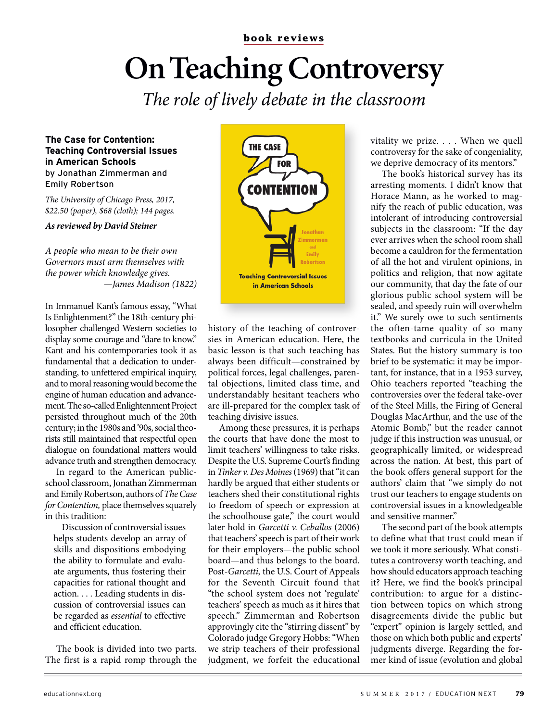## **On Teaching Controversy**

The role of lively debate in the classroom

## **The Case for Contention: Teaching Controversial Issues in American Schools** by Jonathan Zimmerman and Emily Robertson

The University of Chicago Press, 2017, \$22.50 (paper), \$68 (cloth); 144 pages.

## **As reviewed by David Steiner**

A people who mean to be their own Governors must arm themselves with the power which knowledge gives. —James Madison (1822)

In Immanuel Kant's famous essay, "What Is Enlightenment?" the 18th-century philosopher challenged Western societies to display some courage and "dare to know." Kant and his contemporaries took it as fundamental that a dedication to understanding, to unfettered empirical inquiry, and to moral reasoning would become the engine of human education and advancement. The so-called Enlightenment Project persisted throughout much of the 20th century; in the 1980s and '90s, social theorists still maintained that respectful open dialogue on foundational matters would advance truth and strengthen democracy.

In regard to the American publicschool classroom, Jonathan Zimmerman and Emily Robertson, authors of The Case for Contention, place themselves squarely in this tradition:

Discussion of controversial issues helps students develop an array of skills and dispositions embodying the ability to formulate and evaluate arguments, thus fostering their capacities for rational thought and action. . . . Leading students in discussion of controversial issues can be regarded as essential to effective and efficient education.

The book is divided into two parts. The first is a rapid romp through the



history of the teaching of controversies in American education. Here, the basic lesson is that such teaching has always been difficult—constrained by political forces, legal challenges, parental objections, limited class time, and understandably hesitant teachers who are ill-prepared for the complex task of teaching divisive issues.

Among these pressures, it is perhaps the courts that have done the most to limit teachers' willingness to take risks. Despite the U.S. Supreme Court's finding in Tinker v. Des Moines (1969) that "it can hardly be argued that either students or teachers shed their constitutional rights to freedom of speech or expression at the schoolhouse gate," the court would later hold in Garcetti v. Ceballos (2006) that teachers' speech is part of their work for their employers—the public school board—and thus belongs to the board. Post-Garcetti, the U.S. Court of Appeals for the Seventh Circuit found that "the school system does not 'regulate' teachers' speech as much as it hires that speech." Zimmerman and Robertson approvingly cite the "stirring dissent" by Colorado judge Gregory Hobbs: "When we strip teachers of their professional judgment, we forfeit the educational

vitality we prize. . . . When we quell controversy for the sake of congeniality, we deprive democracy of its mentors."

The book's historical survey has its arresting moments. I didn't know that Horace Mann, as he worked to magnify the reach of public education, was intolerant of introducing controversial subjects in the classroom: "If the day ever arrives when the school room shall become a cauldron for the fermentation of all the hot and virulent opinions, in politics and religion, that now agitate our community, that day the fate of our glorious public school system will be sealed, and speedy ruin will overwhelm it." We surely owe to such sentiments the often-tame quality of so many textbooks and curricula in the United States. But the history summary is too brief to be systematic: it may be important, for instance, that in a 1953 survey, Ohio teachers reported "teaching the controversies over the federal take-over of the Steel Mills, the Firing of General Douglas MacArthur, and the use of the Atomic Bomb," but the reader cannot judge if this instruction was unusual, or geographically limited, or widespread across the nation. At best, this part of the book offers general support for the authors' claim that "we simply do not trust our teachers to engage students on controversial issues in a knowledgeable and sensitive manner."

The second part of the book attempts to define what that trust could mean if we took it more seriously. What constitutes a controversy worth teaching, and how should educators approach teaching it? Here, we find the book's principal contribution: to argue for a distinction between topics on which strong disagreements divide the public but "expert" opinion is largely settled, and those on which both public and experts' judgments diverge. Regarding the former kind of issue (evolution and global